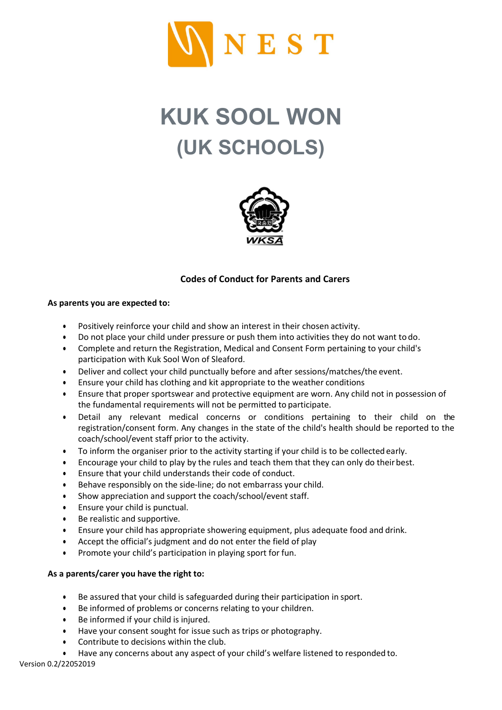

## KUK SOOL WON (UK SCHOOLS)



## Codes of Conduct for Parents and Carers

## As parents you are expected to:

- Positively reinforce your child and show an interest in their chosen activity.
- Do not place your child under pressure or push them into activities they do not want to do.
- Complete and return the Registration, Medical and Consent Form pertaining to your child's participation with Kuk Sool Won of Sleaford.
- Deliver and collect your child punctually before and after sessions/matches/the event.
- Ensure your child has clothing and kit appropriate to the weather conditions
- Ensure that proper sportswear and protective equipment are worn. Any child not in possession of the fundamental requirements will not be permitted to participate.
- Detail any relevant medical concerns or conditions pertaining to their child on the registration/consent form. Any changes in the state of the child's health should be reported to the coach/school/event staff prior to the activity.
- To inform the organiser prior to the activity starting if your child is to be collected early.
- Encourage your child to play by the rules and teach them that they can only do their best.
- Ensure that your child understands their code of conduct.
- Behave responsibly on the side-line; do not embarrass your child.
- Show appreciation and support the coach/school/event staff.
- Ensure your child is punctual.
- Be realistic and supportive.
- Ensure your child has appropriate showering equipment, plus adequate food and drink.
- Accept the official's judgment and do not enter the field of play
- Promote your child's participation in playing sport for fun.

## As a parents/carer you have the right to:

- Be assured that your child is safeguarded during their participation in sport.
- Be informed of problems or concerns relating to your children.
- Be informed if your child is injured.
- Have your consent sought for issue such as trips or photography.
- Contribute to decisions within the club.
- Have any concerns about any aspect of your child's welfare listened to responded to.